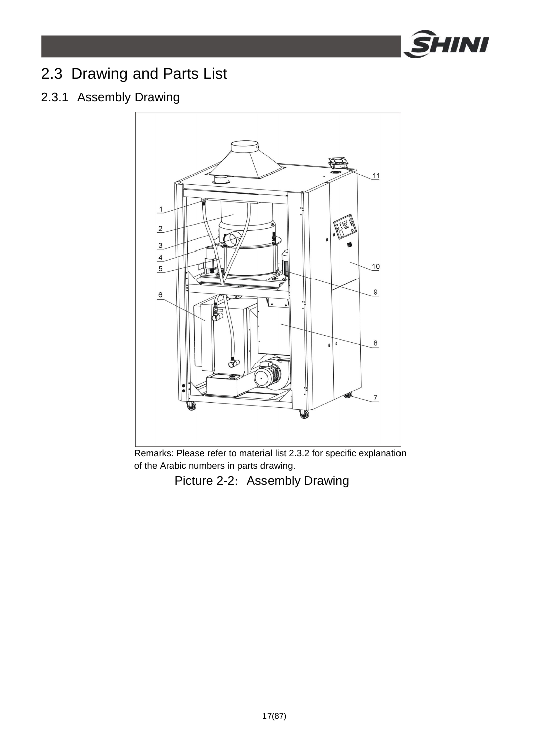

# 2.3 Drawing and Parts List

# 2.3.1 Assembly Drawing



Remarks: Please refer to material list 2.3.2 for specific explanation of the Arabic numbers in parts drawing.

Picture 2-2: Assembly Drawing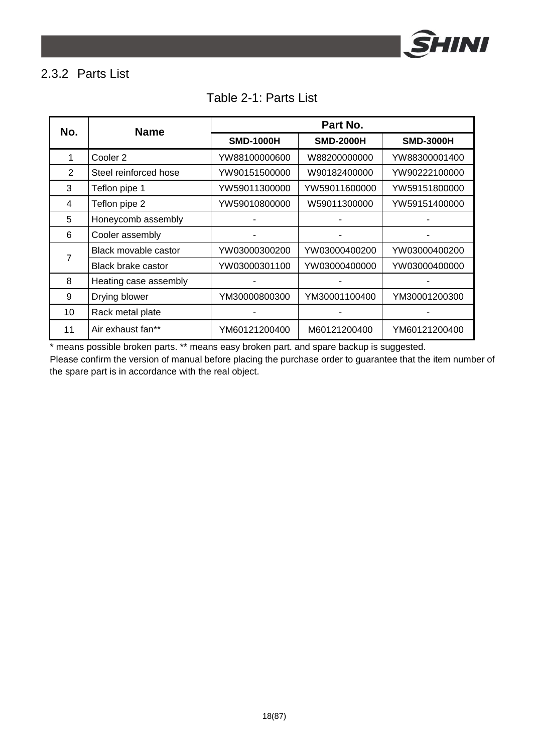

# 2.3.2 Parts List

| No. | <b>Name</b>           | Part No.         |                  |                  |
|-----|-----------------------|------------------|------------------|------------------|
|     |                       | <b>SMD-1000H</b> | <b>SMD-2000H</b> | <b>SMD-3000H</b> |
| 1   | Cooler <sub>2</sub>   | YW88100000600    | W88200000000     | YW88300001400    |
| 2   | Steel reinforced hose | YW90151500000    | W90182400000     | YW90222100000    |
| 3   | Teflon pipe 1         | YW59011300000    | YW59011600000    | YW59151800000    |
| 4   | Teflon pipe 2         | YW59010800000    | W59011300000     | YW59151400000    |
| 5   | Honeycomb assembly    |                  |                  |                  |
| 6   | Cooler assembly       |                  |                  |                  |
| 7   | Black movable castor  | YW03000300200    | YW03000400200    | YW03000400200    |
|     | Black brake castor    | YW03000301100    | YW03000400000    | YW03000400000    |
| 8   | Heating case assembly |                  |                  |                  |
| 9   | Drying blower         | YM30000800300    | YM30001100400    | YM30001200300    |
| 10  | Rack metal plate      |                  |                  |                  |
| 11  | Air exhaust fan**     | YM60121200400    | M60121200400     | YM60121200400    |

#### Table 2-1: Parts List

\* means possible broken parts. \*\* means easy broken part. and spare backup is suggested.

Please confirm the version of manual before placing the purchase order to guarantee that the item number of the spare part is in accordance with the real object.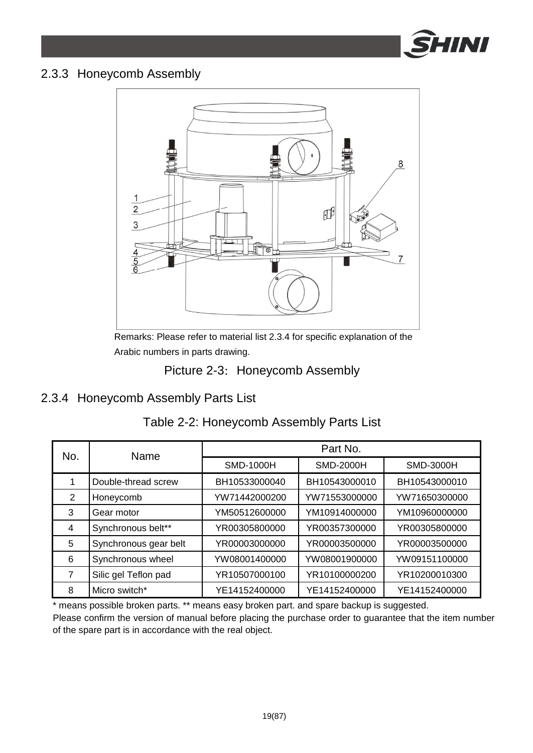

#### 2.3.3 Honeycomb Assembly



Remarks: Please refer to material list 2.3.4 for specific explanation of the Arabic numbers in parts drawing.

#### Picture 2-3: Honeycomb Assembly

### 2.3.4 Honeycomb Assembly Parts List

| No.           | Name                  | Part No.      |                  |               |  |
|---------------|-----------------------|---------------|------------------|---------------|--|
|               |                       | SMD-1000H     | <b>SMD-2000H</b> | SMD-3000H     |  |
|               | Double-thread screw   | BH10533000040 | BH10543000010    | BH10543000010 |  |
| $\mathcal{P}$ | Honeycomb             | YW71442000200 | YW71553000000    | YW71650300000 |  |
| 3             | Gear motor            | YM50512600000 | YM10914000000    | YM10960000000 |  |
| 4             | Synchronous belt**    | YR00305800000 | YR00357300000    | YR00305800000 |  |
| 5             | Synchronous gear belt | YR00003000000 | YR00003500000    | YR00003500000 |  |
| 6             | Synchronous wheel     | YW08001400000 | YW08001900000    | YW09151100000 |  |
| 7             | Silic gel Teflon pad  | YR10507000100 | YR10100000200    | YR10200010300 |  |
| 8             | Micro switch*         | YE14152400000 | YE14152400000    | YE14152400000 |  |

### Table 2-2: Honeycomb Assembly Parts List

\* means possible broken parts. \*\* means easy broken part. and spare backup is suggested.

Please confirm the version of manual before placing the purchase order to guarantee that the item number of the spare part is in accordance with the real object.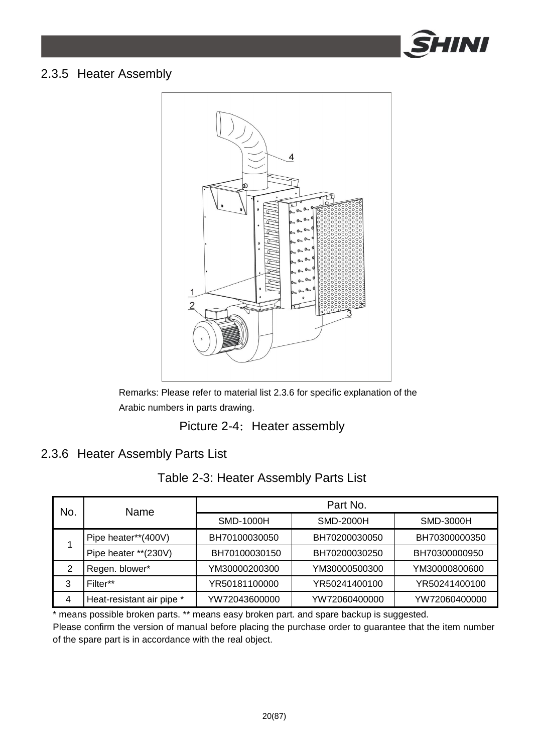

#### 2.3.5 Heater Assembly



Remarks: Please refer to material list 2.3.6 for specific explanation of the Arabic numbers in parts drawing.

Picture 2-4: Heater assembly

### 2.3.6 Heater Assembly Parts List

| No. | Name                      | Part No.      |                  |                  |
|-----|---------------------------|---------------|------------------|------------------|
|     |                           | SMD-1000H     | <b>SMD-2000H</b> | <b>SMD-3000H</b> |
|     | Pipe heater**(400V)       | BH70100030050 | BH70200030050    | BH70300000350    |
|     | Pipe heater **(230V)      | BH70100030150 | BH70200030250    | BH70300000950    |
| 2   | Regen. blower*            | YM30000200300 | YM30000500300    | YM30000800600    |
| 3   | Filter**                  | YR50181100000 | YR50241400100    | YR50241400100    |
| 4   | Heat-resistant air pipe * | YW72043600000 | YW72060400000    | YW72060400000    |

\* means possible broken parts. \*\* means easy broken part. and spare backup is suggested. Please confirm the version of manual before placing the purchase order to guarantee that the item number of the spare part is in accordance with the real object.